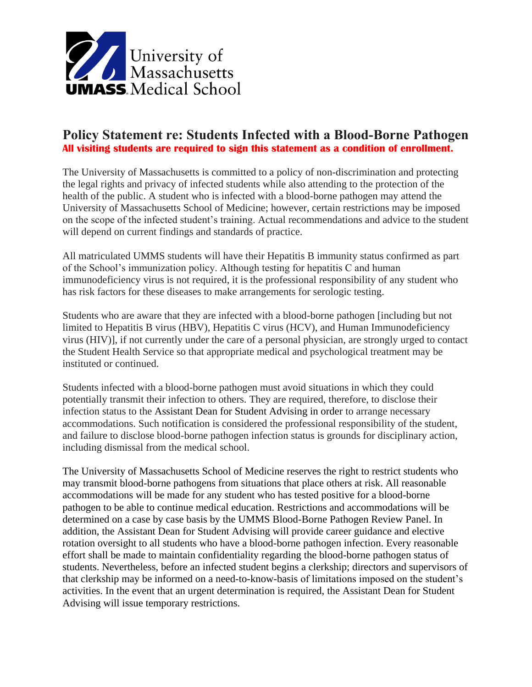

## **Policy Statement re: Students Infected with a Blood-Borne Pathogen All visiting students are required to sign this statement as a condition of enrollment.**

The University of Massachusetts is committed to a policy of non-discrimination and protecting the legal rights and privacy of infected students while also attending to the protection of the health of the public. A student who is infected with a blood-borne pathogen may attend the University of Massachusetts School of Medicine; however, certain restrictions may be imposed on the scope of the infected student's training. Actual recommendations and advice to the student will depend on current findings and standards of practice.

All matriculated UMMS students will have their Hepatitis B immunity status confirmed as part of the School's immunization policy. Although testing for hepatitis C and human immunodeficiency virus is not required, it is the professional responsibility of any student who has risk factors for these diseases to make arrangements for serologic testing.

Students who are aware that they are infected with a blood-borne pathogen [including but not limited to Hepatitis B virus (HBV), Hepatitis C virus (HCV), and Human Immunodeficiency virus (HIV)], if not currently under the care of a personal physician, are strongly urged to contact the Student Health Service so that appropriate medical and psychological treatment may be instituted or continued.

Students infected with a blood-borne pathogen must avoid situations in which they could potentially transmit their infection to others. They are required, therefore, to disclose their infection status to the Assistant Dean for Student Advising in order to arrange necessary accommodations. Such notification is considered the professional responsibility of the student, and failure to disclose blood-borne pathogen infection status is grounds for disciplinary action, including dismissal from the medical school.

The University of Massachusetts School of Medicine reserves the right to restrict students who may transmit blood-borne pathogens from situations that place others at risk. All reasonable accommodations will be made for any student who has tested positive for a blood-borne pathogen to be able to continue medical education. Restrictions and accommodations will be determined on a case by case basis by the UMMS Blood-Borne Pathogen Review Panel. In addition, the Assistant Dean for Student Advising will provide career guidance and elective rotation oversight to all students who have a blood-borne pathogen infection. Every reasonable effort shall be made to maintain confidentiality regarding the blood-borne pathogen status of students. Nevertheless, before an infected student begins a clerkship; directors and supervisors of that clerkship may be informed on a need-to-know-basis of limitations imposed on the student's activities. In the event that an urgent determination is required, the Assistant Dean for Student Advising will issue temporary restrictions.